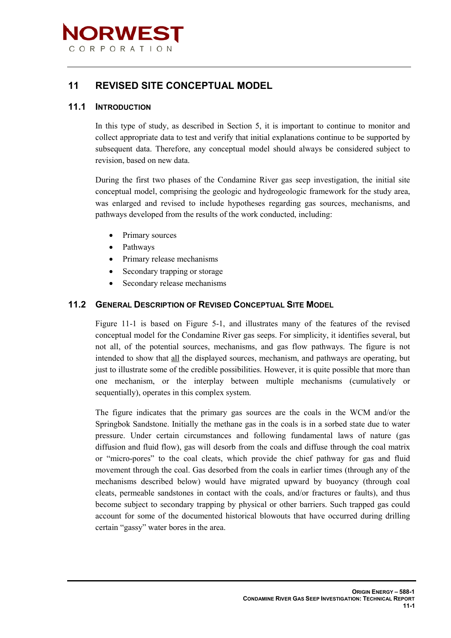

# **11 REVISED SITE CONCEPTUAL MODEL**

## **11.1 INTRODUCTION**

In this type of study, as described in Section 5, it is important to continue to monitor and collect appropriate data to test and verify that initial explanations continue to be supported by subsequent data. Therefore, any conceptual model should always be considered subject to revision, based on new data.

During the first two phases of the Condamine River gas seep investigation, the initial site conceptual model, comprising the geologic and hydrogeologic framework for the study area, was enlarged and revised to include hypotheses regarding gas sources, mechanisms, and pathways developed from the results of the work conducted, including:

- Primary sources
- Pathways
- Primary release mechanisms
- Secondary trapping or storage
- Secondary release mechanisms

## **11.2 GENERAL DESCRIPTION OF REVISED CONCEPTUAL SITE MODEL**

Figure 11-1 is based on Figure 5-1, and illustrates many of the features of the revised conceptual model for the Condamine River gas seeps. For simplicity, it identifies several, but not all, of the potential sources, mechanisms, and gas flow pathways. The figure is not intended to show that all the displayed sources, mechanism, and pathways are operating, but just to illustrate some of the credible possibilities. However, it is quite possible that more than one mechanism, or the interplay between multiple mechanisms (cumulatively or sequentially), operates in this complex system.

The figure indicates that the primary gas sources are the coals in the WCM and/or the Springbok Sandstone. Initially the methane gas in the coals is in a sorbed state due to water pressure. Under certain circumstances and following fundamental laws of nature (gas diffusion and fluid flow), gas will desorb from the coals and diffuse through the coal matrix or "micro-pores" to the coal cleats, which provide the chief pathway for gas and fluid movement through the coal. Gas desorbed from the coals in earlier times (through any of the mechanisms described below) would have migrated upward by buoyancy (through coal cleats, permeable sandstones in contact with the coals, and/or fractures or faults), and thus become subject to secondary trapping by physical or other barriers. Such trapped gas could account for some of the documented historical blowouts that have occurred during drilling certain "gassy" water bores in the area.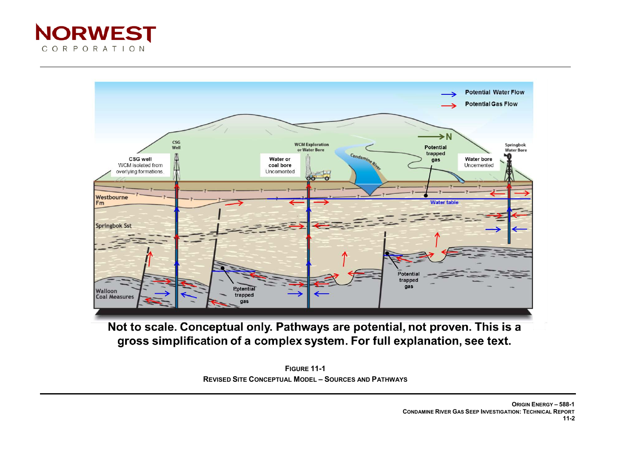



Not to scale. Conceptual only. Pathways are potential, not proven. This is a gross simplification of a complex system. For full explanation, see text.

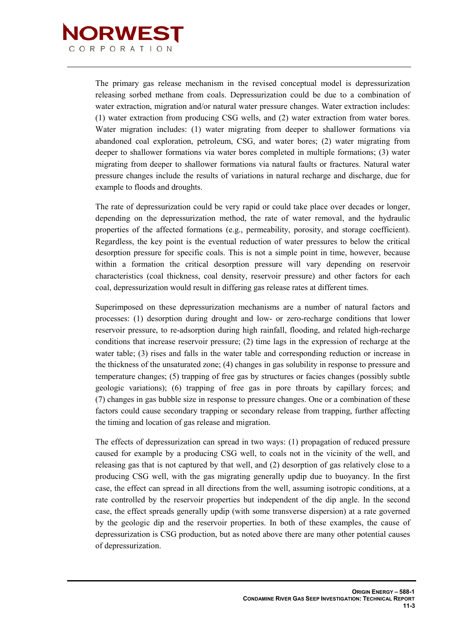

The primary gas release mechanism in the revised conceptual model is depressurization releasing sorbed methane from coals. Depressurization could be due to a combination of water extraction, migration and/or natural water pressure changes. Water extraction includes: (1) water extraction from producing CSG wells, and (2) water extraction from water bores. Water migration includes: (1) water migrating from deeper to shallower formations via abandoned coal exploration, petroleum, CSG, and water bores; (2) water migrating from deeper to shallower formations via water bores completed in multiple formations; (3) water migrating from deeper to shallower formations via natural faults or fractures. Natural water pressure changes include the results of variations in natural recharge and discharge, due for example to floods and droughts.

The rate of depressurization could be very rapid or could take place over decades or longer, depending on the depressurization method, the rate of water removal, and the hydraulic properties of the affected formations (e.g., permeability, porosity, and storage coefficient). Regardless, the key point is the eventual reduction of water pressures to below the critical desorption pressure for specific coals. This is not a simple point in time, however, because within a formation the critical desorption pressure will vary depending on reservoir characteristics (coal thickness, coal density, reservoir pressure) and other factors for each coal, depressurization would result in differing gas release rates at different times.

Superimposed on these depressurization mechanisms are a number of natural factors and processes: (1) desorption during drought and low- or zero-recharge conditions that lower reservoir pressure, to re-adsorption during high rainfall, flooding, and related high-recharge conditions that increase reservoir pressure; (2) time lags in the expression of recharge at the water table; (3) rises and falls in the water table and corresponding reduction or increase in the thickness of the unsaturated zone; (4) changes in gas solubility in response to pressure and temperature changes; (5) trapping of free gas by structures or facies changes (possibly subtle geologic variations); (6) trapping of free gas in pore throats by capillary forces; and (7) changes in gas bubble size in response to pressure changes. One or a combination of these factors could cause secondary trapping or secondary release from trapping, further affecting the timing and location of gas release and migration.

The effects of depressurization can spread in two ways: (1) propagation of reduced pressure caused for example by a producing CSG well, to coals not in the vicinity of the well, and releasing gas that is not captured by that well, and (2) desorption of gas relatively close to a producing CSG well, with the gas migrating generally updip due to buoyancy. In the first case, the effect can spread in all directions from the well, assuming isotropic conditions, at a rate controlled by the reservoir properties but independent of the dip angle. In the second case, the effect spreads generally updip (with some transverse dispersion) at a rate governed by the geologic dip and the reservoir properties. In both of these examples, the cause of depressurization is CSG production, but as noted above there are many other potential causes of depressurization.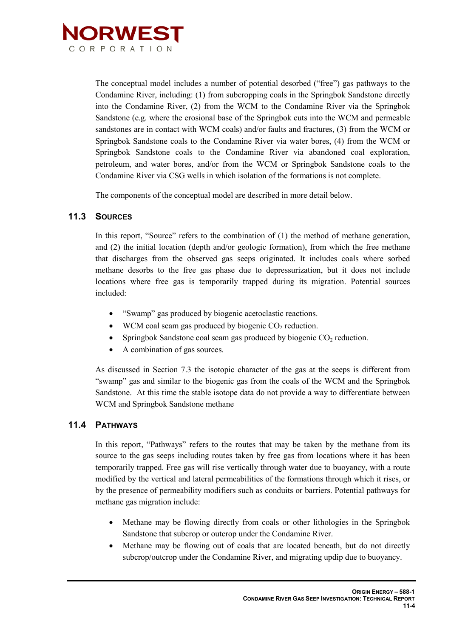

The conceptual model includes a number of potential desorbed ("free") gas pathways to the Condamine River, including: (1) from subcropping coals in the Springbok Sandstone directly into the Condamine River, (2) from the WCM to the Condamine River via the Springbok Sandstone (e.g. where the erosional base of the Springbok cuts into the WCM and permeable sandstones are in contact with WCM coals) and/or faults and fractures, (3) from the WCM or Springbok Sandstone coals to the Condamine River via water bores, (4) from the WCM or Springbok Sandstone coals to the Condamine River via abandoned coal exploration, petroleum, and water bores, and/or from the WCM or Springbok Sandstone coals to the Condamine River via CSG wells in which isolation of the formations is not complete.

The components of the conceptual model are described in more detail below.

# **11.3 SOURCES**

In this report, "Source" refers to the combination of (1) the method of methane generation, and (2) the initial location (depth and/or geologic formation), from which the free methane that discharges from the observed gas seeps originated. It includes coals where sorbed methane desorbs to the free gas phase due to depressurization, but it does not include locations where free gas is temporarily trapped during its migration. Potential sources included:

- "Swamp" gas produced by biogenic acetoclastic reactions.
- WCM coal seam gas produced by biogenic  $CO<sub>2</sub>$  reduction.
- Springbok Sandstone coal seam gas produced by biogenic  $CO<sub>2</sub>$  reduction.
- A combination of gas sources.

As discussed in Section 7.3 the isotopic character of the gas at the seeps is different from "swamp" gas and similar to the biogenic gas from the coals of the WCM and the Springbok Sandstone. At this time the stable isotope data do not provide a way to differentiate between WCM and Springbok Sandstone methane

# **11.4 PATHWAYS**

In this report, "Pathways" refers to the routes that may be taken by the methane from its source to the gas seeps including routes taken by free gas from locations where it has been temporarily trapped. Free gas will rise vertically through water due to buoyancy, with a route modified by the vertical and lateral permeabilities of the formations through which it rises, or by the presence of permeability modifiers such as conduits or barriers. Potential pathways for methane gas migration include:

- Methane may be flowing directly from coals or other lithologies in the Springbok Sandstone that subcrop or outcrop under the Condamine River.
- Methane may be flowing out of coals that are located beneath, but do not directly subcrop/outcrop under the Condamine River, and migrating updip due to buoyancy.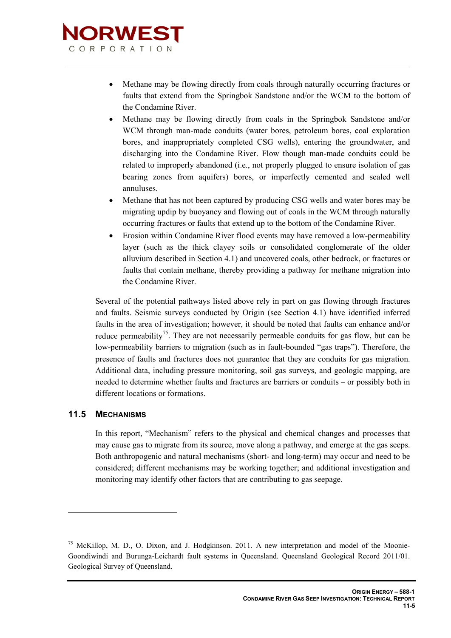

- Methane may be flowing directly from coals through naturally occurring fractures or faults that extend from the Springbok Sandstone and/or the WCM to the bottom of the Condamine River.
- Methane may be flowing directly from coals in the Springbok Sandstone and/or WCM through man-made conduits (water bores, petroleum bores, coal exploration bores, and inappropriately completed CSG wells), entering the groundwater, and discharging into the Condamine River. Flow though man-made conduits could be related to improperly abandoned (i.e., not properly plugged to ensure isolation of gas bearing zones from aquifers) bores, or imperfectly cemented and sealed well annuluses.
- Methane that has not been captured by producing CSG wells and water bores may be migrating updip by buoyancy and flowing out of coals in the WCM through naturally occurring fractures or faults that extend up to the bottom of the Condamine River.
- Erosion within Condamine River flood events may have removed a low-permeability layer (such as the thick clayey soils or consolidated conglomerate of the older alluvium described in Section 4.1) and uncovered coals, other bedrock, or fractures or faults that contain methane, thereby providing a pathway for methane migration into the Condamine River.

Several of the potential pathways listed above rely in part on gas flowing through fractures and faults. Seismic surveys conducted by Origin (see Section 4.1) have identified inferred faults in the area of investigation; however, it should be noted that faults can enhance and/or reduce permeability<sup>75</sup>. They are not necessarily permeable conduits for gas flow, but can be low-permeability barriers to migration (such as in fault-bounded "gas traps"). Therefore, the presence of faults and fractures does not guarantee that they are conduits for gas migration. Additional data, including pressure monitoring, soil gas surveys, and geologic mapping, are needed to determine whether faults and fractures are barriers or conduits – or possibly both in different locations or formations.

# **11.5 MECHANISMS**

-

In this report, "Mechanism" refers to the physical and chemical changes and processes that may cause gas to migrate from its source, move along a pathway, and emerge at the gas seeps. Both anthropogenic and natural mechanisms (short- and long-term) may occur and need to be considered; different mechanisms may be working together; and additional investigation and monitoring may identify other factors that are contributing to gas seepage.

<span id="page-4-0"></span><sup>&</sup>lt;sup>75</sup> McKillop, M. D., O. Dixon, and J. Hodgkinson. 2011. A new interpretation and model of the Moonie-Goondiwindi and Burunga-Leichardt fault systems in Queensland. Queensland Geological Record 2011/01. Geological Survey of Queensland.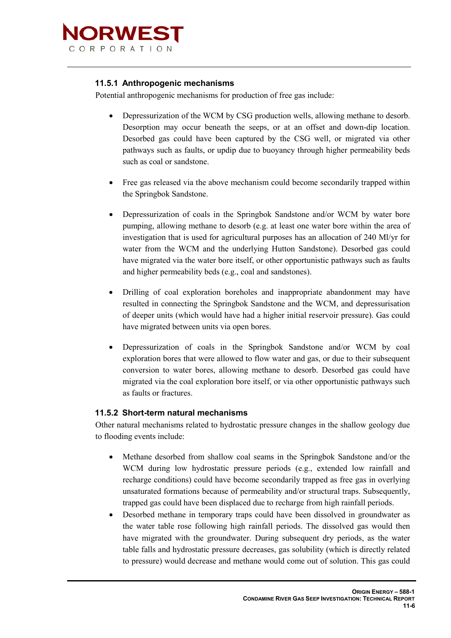

#### **11.5.1 Anthropogenic mechanisms**

Potential anthropogenic mechanisms for production of free gas include:

- Depressurization of the WCM by CSG production wells, allowing methane to desorb. Desorption may occur beneath the seeps, or at an offset and down-dip location. Desorbed gas could have been captured by the CSG well, or migrated via other pathways such as faults, or updip due to buoyancy through higher permeability beds such as coal or sandstone.
- Free gas released via the above mechanism could become secondarily trapped within the Springbok Sandstone.
- Depressurization of coals in the Springbok Sandstone and/or WCM by water bore pumping, allowing methane to desorb (e.g. at least one water bore within the area of investigation that is used for agricultural purposes has an allocation of 240 Ml/yr for water from the WCM and the underlying Hutton Sandstone). Desorbed gas could have migrated via the water bore itself, or other opportunistic pathways such as faults and higher permeability beds (e.g., coal and sandstones).
- Drilling of coal exploration boreholes and inappropriate abandonment may have resulted in connecting the Springbok Sandstone and the WCM, and depressurisation of deeper units (which would have had a higher initial reservoir pressure). Gas could have migrated between units via open bores.
- Depressurization of coals in the Springbok Sandstone and/or WCM by coal exploration bores that were allowed to flow water and gas, or due to their subsequent conversion to water bores, allowing methane to desorb. Desorbed gas could have migrated via the coal exploration bore itself, or via other opportunistic pathways such as faults or fractures.

#### **11.5.2 Short-term natural mechanisms**

Other natural mechanisms related to hydrostatic pressure changes in the shallow geology due to flooding events include:

- Methane desorbed from shallow coal seams in the Springbok Sandstone and/or the WCM during low hydrostatic pressure periods (e.g., extended low rainfall and recharge conditions) could have become secondarily trapped as free gas in overlying unsaturated formations because of permeability and/or structural traps. Subsequently, trapped gas could have been displaced due to recharge from high rainfall periods.
- Desorbed methane in temporary traps could have been dissolved in groundwater as the water table rose following high rainfall periods. The dissolved gas would then have migrated with the groundwater. During subsequent dry periods, as the water table falls and hydrostatic pressure decreases, gas solubility (which is directly related to pressure) would decrease and methane would come out of solution. This gas could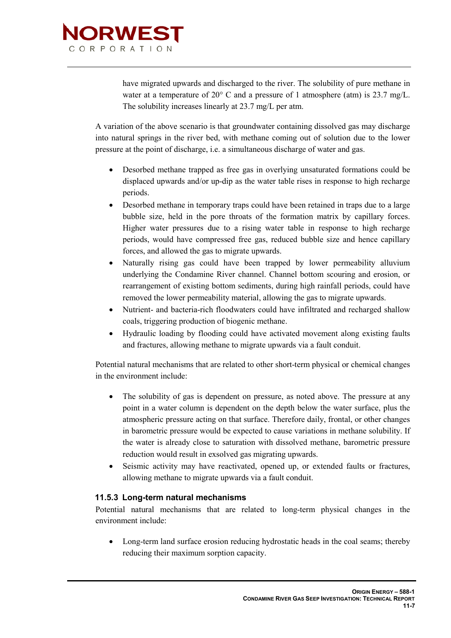

have migrated upwards and discharged to the river. The solubility of pure methane in water at a temperature of 20° C and a pressure of 1 atmosphere (atm) is 23.7 mg/L. The solubility increases linearly at 23.7 mg/L per atm.

A variation of the above scenario is that groundwater containing dissolved gas may discharge into natural springs in the river bed, with methane coming out of solution due to the lower pressure at the point of discharge, i.e. a simultaneous discharge of water and gas.

- Desorbed methane trapped as free gas in overlying unsaturated formations could be displaced upwards and/or up-dip as the water table rises in response to high recharge periods.
- Desorbed methane in temporary traps could have been retained in traps due to a large bubble size, held in the pore throats of the formation matrix by capillary forces. Higher water pressures due to a rising water table in response to high recharge periods, would have compressed free gas, reduced bubble size and hence capillary forces, and allowed the gas to migrate upwards.
- Naturally rising gas could have been trapped by lower permeability alluvium underlying the Condamine River channel. Channel bottom scouring and erosion, or rearrangement of existing bottom sediments, during high rainfall periods, could have removed the lower permeability material, allowing the gas to migrate upwards.
- Nutrient- and bacteria-rich floodwaters could have infiltrated and recharged shallow coals, triggering production of biogenic methane.
- Hydraulic loading by flooding could have activated movement along existing faults and fractures, allowing methane to migrate upwards via a fault conduit.

Potential natural mechanisms that are related to other short-term physical or chemical changes in the environment include:

- The solubility of gas is dependent on pressure, as noted above. The pressure at any point in a water column is dependent on the depth below the water surface, plus the atmospheric pressure acting on that surface. Therefore daily, frontal, or other changes in barometric pressure would be expected to cause variations in methane solubility. If the water is already close to saturation with dissolved methane, barometric pressure reduction would result in exsolved gas migrating upwards.
- Seismic activity may have reactivated, opened up, or extended faults or fractures, allowing methane to migrate upwards via a fault conduit.

# **11.5.3 Long-term natural mechanisms**

Potential natural mechanisms that are related to long-term physical changes in the environment include:

• Long-term land surface erosion reducing hydrostatic heads in the coal seams; thereby reducing their maximum sorption capacity.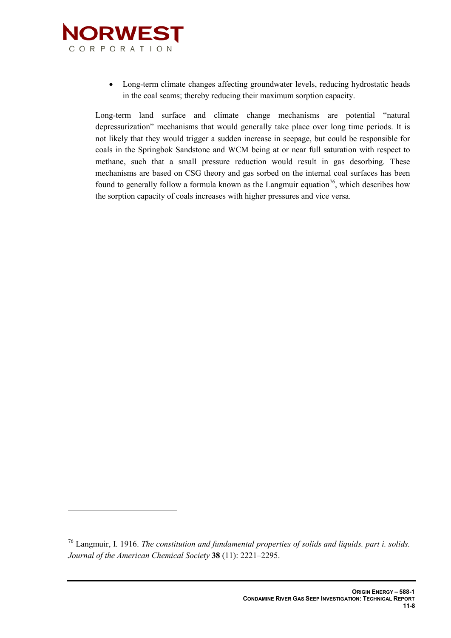

<u>.</u>

• Long-term climate changes affecting groundwater levels, reducing hydrostatic heads in the coal seams; thereby reducing their maximum sorption capacity.

Long-term land surface and climate change mechanisms are potential "natural depressurization" mechanisms that would generally take place over long time periods. It is not likely that they would trigger a sudden increase in seepage, but could be responsible for coals in the Springbok Sandstone and WCM being at or near full saturation with respect to methane, such that a small pressure reduction would result in gas desorbing. These mechanisms are based on CSG theory and gas sorbed on the internal coal surfaces has been found to generally follow a formula known as the Langmuir equation<sup>[76](#page-4-0)</sup>, which describes how the sorption capacity of coals increases with higher pressures and vice versa.

<sup>76</sup> Langmuir, I. 1916. *The constitution and fundamental properties of solids and liquids. part i. solids. Journal of the American Chemical Society* **38** (11): 2221–2295.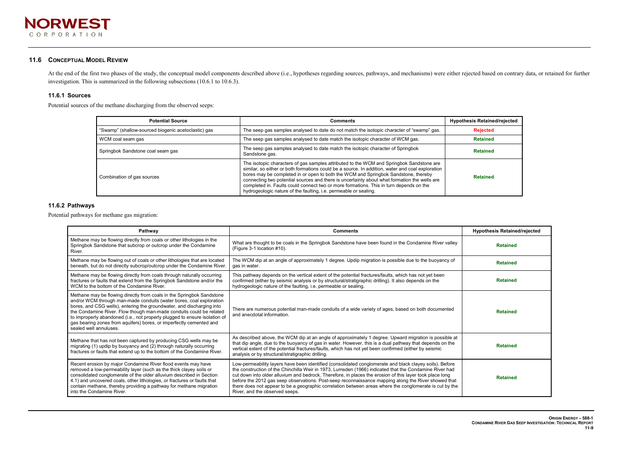

#### **11.6 CONCEPTUAL MODEL REVIEW**

At the end of the first two phases of the study, the conceptual model components described above (i.e., hypotheses regarding sources, pathways, and mechanisms) were either rejected based on contrary data, or retained for f investigation. This is summarized in the following subsections (10.6.1 to 10.6.3).

#### **11.6.1 Sources**

Potential sources of the methane discharging from the observed seeps:

| <b>Potential Source</b>                             | <b>Comments</b>                                                                                                                                                                                                                                                                                                                                                                                                                                                                                                                                  | <b>Hypothesis Retained/rejected</b> |
|-----------------------------------------------------|--------------------------------------------------------------------------------------------------------------------------------------------------------------------------------------------------------------------------------------------------------------------------------------------------------------------------------------------------------------------------------------------------------------------------------------------------------------------------------------------------------------------------------------------------|-------------------------------------|
| "Swamp" (shallow-sourced biogenic acetoclastic) gas | The seep gas samples analysed to date do not match the isotopic character of "swamp" gas.                                                                                                                                                                                                                                                                                                                                                                                                                                                        | <b>Rejected</b>                     |
| WCM coal seam gas                                   | The seep gas samples analysed to date match the isotopic character of WCM gas.                                                                                                                                                                                                                                                                                                                                                                                                                                                                   | <b>Retained</b>                     |
| Springbok Sandstone coal seam gas                   | The seep gas samples analysed to date match the isotopic character of Springbok<br>Sandstone gas.                                                                                                                                                                                                                                                                                                                                                                                                                                                | <b>Retained</b>                     |
| Combination of gas sources                          | The isotopic characters of gas samples attributed to the WCM and Springbok Sandstone are<br>similar, so either or both formations could be a source. In addition, water and coal exploration<br>bores may be completed in or open to both the WCM and Springbok Sandstone, thereby<br>connecting two potential sources and there is uncertainty about what formation the wells are<br>completed in. Faults could connect two or more formations. This in turn depends on the<br>hydrogeologic nature of the faulting, i.e. permeable or sealing. | <b>Retained</b>                     |

# **11.6.2 Pathways**

Potential pathways for methane gas migration:

| Pathway                                                                                                                                                                                                                                                                                                                                                                                                                                                                     | <b>Comments</b>                                                                                                                                                                                                                                                                                                                                                                                                                                                                                                                                                                   | <b>Hypothesis Retained/rejected</b> |
|-----------------------------------------------------------------------------------------------------------------------------------------------------------------------------------------------------------------------------------------------------------------------------------------------------------------------------------------------------------------------------------------------------------------------------------------------------------------------------|-----------------------------------------------------------------------------------------------------------------------------------------------------------------------------------------------------------------------------------------------------------------------------------------------------------------------------------------------------------------------------------------------------------------------------------------------------------------------------------------------------------------------------------------------------------------------------------|-------------------------------------|
| Methane may be flowing directly from coals or other lithologies in the<br>Springbok Sandstone that subcrop or outcrop under the Condamine<br>River.                                                                                                                                                                                                                                                                                                                         | What are thought to be coals in the Springbok Sandstone have been found in the Condamine River valley<br>(Figure 3-1 location #10).                                                                                                                                                                                                                                                                                                                                                                                                                                               | <b>Retained</b>                     |
| Methane may be flowing out of coals or other lithologies that are located<br>beneath, but do not directly subcrop/outcrop under the Condamine River.                                                                                                                                                                                                                                                                                                                        | The WCM dip at an angle of approximately 1 degree. Updip migration is possible due to the buoyancy of<br>gas in water.                                                                                                                                                                                                                                                                                                                                                                                                                                                            | <b>Retained</b>                     |
| Methane may be flowing directly from coals through naturally occurring<br>fractures or faults that extend from the Springbok Sandstone and/or the<br>WCM to the bottom of the Condamine River.                                                                                                                                                                                                                                                                              | This pathway depends on the vertical extent of the potential fractures/faults, which has not yet been<br>confirmed (either by seismic analysis or by structural/stratigraphic drilling). It also depends on the<br>hydrogeologic nature of the faulting, i.e. permeable or sealing.                                                                                                                                                                                                                                                                                               | <b>Retained</b>                     |
| Methane may be flowing directly from coals in the Springbok Sandstone<br>and/or WCM through man-made conduits (water bores, coal exploration<br>bores, and CSG wells), entering the groundwater, and discharging into<br>the Condamine River. Flow though man-made conduits could be related<br>to improperly abandoned (i.e., not properly plugged to ensure isolation of<br>gas bearing zones from aquifers) bores, or imperfectly cemented and<br>sealed well annuluses. | There are numerous potential man-made conduits of a wide variety of ages, based on both documented<br>and anecdotal information.                                                                                                                                                                                                                                                                                                                                                                                                                                                  | <b>Retained</b>                     |
| Methane that has not been captured by producing CSG wells may be<br>migrating (1) updip by buoyancy and (2) through naturally occurring<br>fractures or faults that extend up to the bottom of the Condamine River.                                                                                                                                                                                                                                                         | As described above, the WCM dip at an angle of approximately 1 degree. Upward migration is possible at<br>that dip angle, due to the buoyancy of gas in water. However, this is a dual pathway that depends on the<br>vertical extent of the potential fractures/faults, which has not yet been confirmed (either by seismic<br>analysis or by structural/stratigraphic drilling.                                                                                                                                                                                                 | <b>Retained</b>                     |
| Recent erosion by major Condamine River flood events may have<br>removed a low-permeability layer (such as the thick clayey soils or<br>consolidated conglomerate of the older alluvium described in Section<br>4.1) and uncovered coals, other lithologies, or fractures or faults that<br>contain methane, thereby providing a pathway for methane migration<br>into the Condamine River.                                                                                 | Low-permeability layers have been identified (consolidated conglomerate and black clayey soils). Before<br>the construction of the Chinchilla Weir in 1973, Lumsden (1966) indicated that the Condamine River had<br>cut down into older alluvium and bedrock. Therefore, in places the erosion of this layer took place long<br>before the 2012 gas seep observations. Post-seep reconnaissance mapping along the River showed that<br>there does not appear to be a geographic correlation between areas where the conglomerate is cut by the<br>River, and the observed seeps. | <b>Retained</b>                     |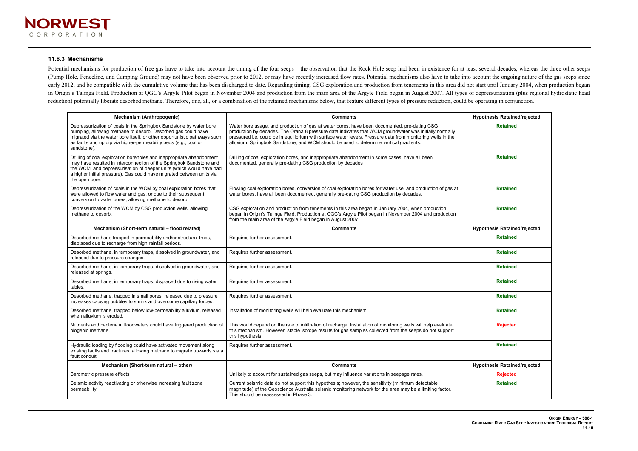#### **11.6.3 Mechanisms**

Potential mechanisms for production of free gas have to take into account the timing of the four seeps – the observation that the Rock Hole seep had been in existence for at least several decades, whereas the three other s (Pump Hole, Fenceline, and Camping Ground) may not have been observed prior to 2012, or may have recently increased flow rates. Potential mechanisms also have to take into account the ongoing nature of the gas seeps since early 2012, and be compatible with the cumulative volume that has been discharged to date. Regarding timing, CSG exploration and production from tenements in this area did not start until January 2004, when production bega in Origin's Talinga Field. Production at QGC's Argyle Pilot began in November 2004 and production from the main area of the Argyle Field began in August 2007. All types of depressurization (plus regional hydrostatic head reduction) potentially liberate desorbed methane. Therefore, one, all, or a combination of the retained mechanisms below, that feature different types of pressure reduction, could be operating in conjunction.

| <b>Mechanism (Anthropogenic)</b>                                                                                                                                                                                                                                                                              | <b>Comments</b>                                                                                                                                                                                                                                                                                                                                                                                                  | <b>Hypothesis Retained/rejected</b> |
|---------------------------------------------------------------------------------------------------------------------------------------------------------------------------------------------------------------------------------------------------------------------------------------------------------------|------------------------------------------------------------------------------------------------------------------------------------------------------------------------------------------------------------------------------------------------------------------------------------------------------------------------------------------------------------------------------------------------------------------|-------------------------------------|
| Depressurization of coals in the Springbok Sandstone by water bore<br>pumping, allowing methane to desorb. Desorbed gas could have<br>migrated via the water bore itself, or other opportunistic pathways such<br>as faults and up dip via higher-permeability beds (e.g., coal or<br>sandstone).             | Water bore usage, and production of gas at water bores, have been documented, pre-dating CSG<br>production by decades. The Orana 8 pressure data indicates that WCM groundwater was initially normally<br>pressured i.e. could be in equilibrium with surface water levels. Pressure data from monitoring wells in the<br>alluvium, Springbok Sandstone, and WCM should be used to determine vertical gradients. | <b>Retained</b>                     |
| Drilling of coal exploration boreholes and inappropriate abandonment<br>may have resulted in interconnection of the Springbok Sandstone and<br>the WCM, and depressurisation of deeper units (which would have had<br>a higher initial pressure). Gas could have migrated between units via<br>the open bore. | Drilling of coal exploration bores, and inappropriate abandonment in some cases, have all been<br>documented, generally pre-dating CSG production by decades                                                                                                                                                                                                                                                     | <b>Retained</b>                     |
| Depressurization of coals in the WCM by coal exploration bores that<br>were allowed to flow water and gas, or due to their subsequent<br>conversion to water bores, allowing methane to desorb.                                                                                                               | Flowing coal exploration bores, conversion of coal exploration bores for water use, and production of gas at<br>water bores, have all been documented, generally pre-dating CSG production by decades.                                                                                                                                                                                                           | <b>Retained</b>                     |
| Depressurization of the WCM by CSG production wells, allowing<br>methane to desorb.                                                                                                                                                                                                                           | CSG exploration and production from tenements in this area began in January 2004, when production<br>began in Origin's Talinga Field. Production at QGC's Argyle Pilot began in November 2004 and production<br>from the main area of the Argyle Field began in August 2007.                                                                                                                                     | <b>Retained</b>                     |
| Mechanism (Short-term natural - flood related)                                                                                                                                                                                                                                                                | <b>Comments</b>                                                                                                                                                                                                                                                                                                                                                                                                  | <b>Hypothesis Retained/rejected</b> |
| Desorbed methane trapped in permeability and/or structural traps,<br>displaced due to recharge from high rainfall periods.                                                                                                                                                                                    | Requires further assessment.                                                                                                                                                                                                                                                                                                                                                                                     | <b>Retained</b>                     |
| Desorbed methane, in temporary traps, dissolved in groundwater, and<br>released due to pressure changes.                                                                                                                                                                                                      | Requires further assessment.                                                                                                                                                                                                                                                                                                                                                                                     | <b>Retained</b>                     |
| Desorbed methane, in temporary traps, dissolved in groundwater, and<br>released at springs.                                                                                                                                                                                                                   | Requires further assessment.                                                                                                                                                                                                                                                                                                                                                                                     | <b>Retained</b>                     |
| Desorbed methane, in temporary traps, displaced due to rising water<br>tables.                                                                                                                                                                                                                                | Requires further assessment.                                                                                                                                                                                                                                                                                                                                                                                     | <b>Retained</b>                     |
| Desorbed methane, trapped in small pores, released due to pressure<br>increases causing bubbles to shrink and overcome capillary forces.                                                                                                                                                                      | Requires further assessment.                                                                                                                                                                                                                                                                                                                                                                                     | <b>Retained</b>                     |
| Desorbed methane, trapped below low-permeability alluvium, released<br>when alluvium is eroded.                                                                                                                                                                                                               | Installation of monitoring wells will help evaluate this mechanism.                                                                                                                                                                                                                                                                                                                                              | <b>Retained</b>                     |
| Nutrients and bacteria in floodwaters could have triggered production of<br>biogenic methane.                                                                                                                                                                                                                 | This would depend on the rate of infiltration of recharge. Installation of monitoring wells will help evaluate<br>this mechanism. However, stable isotope results for gas samples collected from the seeps do not support<br>this hypothesis.                                                                                                                                                                    | <b>Rejected</b>                     |
| Hydraulic loading by flooding could have activated movement along<br>existing faults and fractures, allowing methane to migrate upwards via a<br>fault conduit.                                                                                                                                               | Requires further assessment.                                                                                                                                                                                                                                                                                                                                                                                     | <b>Retained</b>                     |
| Mechanism (Short-term natural - other)                                                                                                                                                                                                                                                                        | <b>Comments</b>                                                                                                                                                                                                                                                                                                                                                                                                  | <b>Hypothesis Retained/rejected</b> |
| Barometric pressure effects                                                                                                                                                                                                                                                                                   | Unlikely to account for sustained gas seeps, but may influence variations in seepage rates.                                                                                                                                                                                                                                                                                                                      | <b>Rejected</b>                     |
| Seismic activity reactivating or otherwise increasing fault zone<br>permeability.                                                                                                                                                                                                                             | Current seismic data do not support this hypothesis; however, the sensitivity (minimum detectable<br>magnitude) of the Geoscience Australia seismic monitoring network for the area may be a limiting factor.<br>This should be reassessed in Phase 3.                                                                                                                                                           | <b>Retained</b>                     |